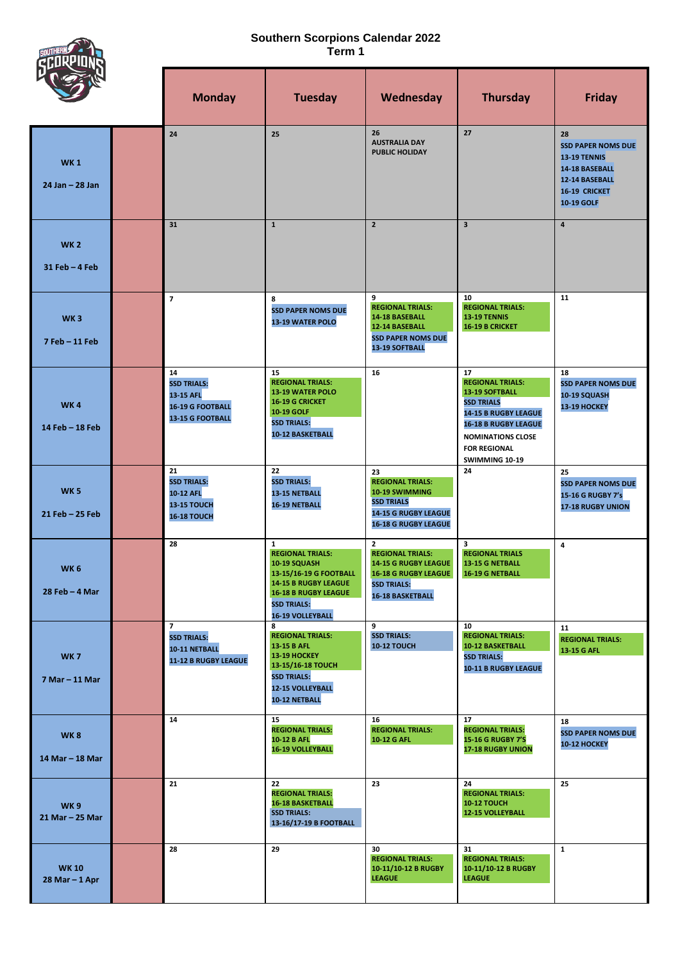## **Southern Scorpions Calendar 2022 Term 1**

SOUTH<br>CLE

|                                   | <b>Monday</b>                                                                        | <b>Tuesday</b>                                                                                                                                                                                   | Wednesday                                                                                                                                              | <b>Thursday</b>                                                                                                                                                                                  | <b>Friday</b>                                                                                                                           |
|-----------------------------------|--------------------------------------------------------------------------------------|--------------------------------------------------------------------------------------------------------------------------------------------------------------------------------------------------|--------------------------------------------------------------------------------------------------------------------------------------------------------|--------------------------------------------------------------------------------------------------------------------------------------------------------------------------------------------------|-----------------------------------------------------------------------------------------------------------------------------------------|
| <b>WK1</b><br>$24$ Jan $- 28$ Jan | 24                                                                                   | 25                                                                                                                                                                                               | 26<br><b>AUSTRALIA DAY</b><br><b>PUBLIC HOLIDAY</b>                                                                                                    | 27                                                                                                                                                                                               | 28<br><b>SSD PAPER NOMS DUE</b><br><b>13-19 TENNIS</b><br>14-18 BASEBALL<br>12-14 BASEBALL<br><b>16-19 CRICKET</b><br><b>10-19 GOLF</b> |
| <b>WK2</b><br>31 Feb - 4 Feb      | 31                                                                                   | $\mathbf{1}$                                                                                                                                                                                     | $\overline{2}$                                                                                                                                         | $\overline{\mathbf{3}}$                                                                                                                                                                          | $\overline{4}$                                                                                                                          |
| WK <sub>3</sub><br>7 Feb - 11 Feb | $\overline{7}$                                                                       | 8<br><b>SSD PAPER NOMS DUE</b><br>13-19 WATER POLO                                                                                                                                               | 9<br><b>REGIONAL TRIALS:</b><br>14-18 BASEBALL<br>12-14 BASEBALL<br><b>SSD PAPER NOMS DUE</b><br>13-19 SOFTBALL                                        | 10<br><b>REGIONAL TRIALS:</b><br>13-19 TENNIS<br><b>16-19 B CRICKET</b>                                                                                                                          | 11                                                                                                                                      |
| <b>WK4</b><br>14 Feb - 18 Feb     | 14<br><b>SSD TRIALS:</b><br>13-15 AFL<br><b>16-19 G FOOTBALL</b><br>13-15 G FOOTBALL | 15<br><b>REGIONAL TRIALS:</b><br>13-19 WATER POLO<br>16-19 G CRICKET<br>10-19 GOLF<br><b>SSD TRIALS:</b><br>10-12 BASKETBALL                                                                     | 16                                                                                                                                                     | 17<br><b>REGIONAL TRIALS:</b><br>13-19 SOFTBALL<br><b>SSD TRIALS</b><br>14-15 B RUGBY LEAGUE<br><b>16-18 B RUGBY LEAGUE</b><br><b>NOMINATIONS CLOSE</b><br><b>FOR REGIONAL</b><br>SWIMMING 10-19 | 18<br><b>SSD PAPER NOMS DUE</b><br>10-19 SQUASH<br>13-19 HOCKEY                                                                         |
| <b>WK5</b><br>$21$ Feb $-25$ Feb  | 21<br><b>SSD TRIALS:</b><br>10-12 AFL<br>13-15 TOUCH<br>16-18 TOUCH                  | 22<br><b>SSD TRIALS:</b><br>13-15 NETBALL<br>16-19 NETBALL                                                                                                                                       | 23<br><b>REGIONAL TRIALS:</b><br>10-19 SWIMMING<br><b>SSD TRIALS</b><br><b>14-15 G RUGBY LEAGUE</b><br><b>16-18 G RUGBY LEAGUE</b>                     | 24                                                                                                                                                                                               | 25<br><b>SSD PAPER NOMS DUE</b><br>15-16 G RUGBY 7's<br><b>17-18 RUGBY UNION</b>                                                        |
| <b>WK6</b><br>28 Feb - 4 Mar      | 28                                                                                   | $\mathbf{1}$<br><b>REGIONAL TRIALS:</b><br>10-19 SQUASH<br>13-15/16-19 G FOOTBALL<br><b>14-15 B RUGBY LEAGUE</b><br><b>16-18 B RUGBY LEAGUE</b><br><b>SSD TRIALS:</b><br><b>16-19 VOLLEYBALL</b> | $\mathbf{z}$<br><b>REGIONAL TRIALS:</b><br><b>14-15 G RUGBY LEAGUE</b><br><b>16-18 G RUGBY LEAGUE</b><br><b>SSD TRIALS:</b><br><b>16-18 BASKETBALL</b> | 3<br><b>REGIONAL TRIALS</b><br>13-15 G NETBALL<br>16-19 G NETBALL                                                                                                                                | 4                                                                                                                                       |
| <b>WK7</b><br>7 Mar - 11 Mar      | $\overline{7}$<br><b>SSD TRIALS:</b><br>10-11 NETBALL<br>11-12 B RUGBY LEAGUE        | 8<br><b>REGIONAL TRIALS:</b><br>13-15 B AFL<br><b>13-19 HOCKEY</b><br>13-15/16-18 TOUCH<br><b>SSD TRIALS:</b><br>12-15 VOLLEYBALL<br>10-12 NETBALL                                               | 9<br><b>SSD TRIALS:</b><br><b>10-12 TOUCH</b>                                                                                                          | 10<br><b>REGIONAL TRIALS:</b><br>10-12 BASKETBALL<br><b>SSD TRIALS:</b><br>10-11 B RUGBY LEAGUE                                                                                                  | 11<br><b>REGIONAL TRIALS:</b><br>13-15 G AFL                                                                                            |
| <b>WK8</b><br>14 Mar - 18 Mar     | 14                                                                                   | 15<br><b>REGIONAL TRIALS:</b><br>10-12 B AFL<br><b>16-19 VOLLEYBALL</b>                                                                                                                          | 16<br><b>REGIONAL TRIALS:</b><br>10-12 G AFL                                                                                                           | 17<br><b>REGIONAL TRIALS:</b><br><b>15-16 G RUGBY 7'S</b><br><b>17-18 RUGBY UNION</b>                                                                                                            | 18<br><b>SSD PAPER NOMS DUE</b><br>10-12 HOCKEY                                                                                         |
| <b>WK9</b><br>21 Mar - 25 Mar     | 21                                                                                   | 22<br><b>REGIONAL TRIALS:</b><br><b>16-18 BASKETBALL</b><br><b>SSD TRIALS:</b><br>13-16/17-19 B FOOTBALL                                                                                         | 23                                                                                                                                                     | 24<br><b>REGIONAL TRIALS:</b><br><b>10-12 TOUCH</b><br><b>12-15 VOLLEYBALL</b>                                                                                                                   | 25                                                                                                                                      |
| <b>WK10</b><br>$28$ Mar $-1$ Apr  | 28                                                                                   | 29                                                                                                                                                                                               | 30<br><b>REGIONAL TRIALS:</b><br>10-11/10-12 B RUGBY<br><b>LEAGUE</b>                                                                                  | 31<br><b>REGIONAL TRIALS:</b><br>10-11/10-12 B RUGBY<br><b>LEAGUE</b>                                                                                                                            | $\mathbf{1}$                                                                                                                            |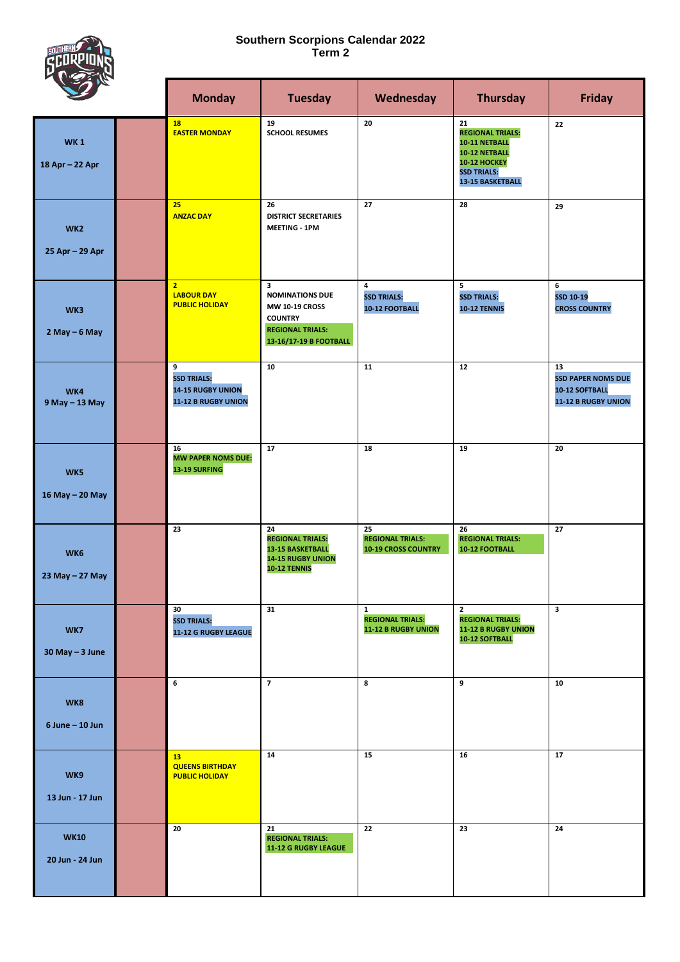## **Southern Scorpions Calendar 2022 Term 2**



|                                    |  | <b>Monday</b>                                                       | <b>Tuesday</b>                                                                                                              | Wednesday                                                      | <b>Thursday</b>                                                                                                                         | <b>Friday</b>                                                            |
|------------------------------------|--|---------------------------------------------------------------------|-----------------------------------------------------------------------------------------------------------------------------|----------------------------------------------------------------|-----------------------------------------------------------------------------------------------------------------------------------------|--------------------------------------------------------------------------|
| <b>WK1</b><br>18 Apr - 22 Apr      |  | <b>18</b><br><b>EASTER MONDAY</b>                                   | 19<br><b>SCHOOL RESUMES</b>                                                                                                 | 20                                                             | 21<br><b>REGIONAL TRIALS:</b><br>10-11 NETBALL<br>10-12 NETBALL<br><b>10-12 HOCKEY</b><br><b>SSD TRIALS:</b><br><b>13-15 BASKETBALL</b> | 22                                                                       |
| WK <sub>2</sub><br>25 Apr - 29 Apr |  | 25<br><b>ANZAC DAY</b>                                              | 26<br><b>DISTRICT SECRETARIES</b><br><b>MEETING - 1PM</b>                                                                   | 27                                                             | 28                                                                                                                                      | 29                                                                       |
| WK3<br>$2$ May $-6$ May            |  | $\overline{2}$<br><b>LABOUR DAY</b><br><b>PUBLIC HOLIDAY</b>        | 3<br><b>NOMINATIONS DUE</b><br><b>MW 10-19 CROSS</b><br><b>COUNTRY</b><br><b>REGIONAL TRIALS:</b><br>13-16/17-19 B FOOTBALL | 4<br><b>SSD TRIALS:</b><br><b>10-12 FOOTBALL</b>               | 5<br><b>SSD TRIALS:</b><br>10-12 TENNIS                                                                                                 | 6<br>SSD 10-19<br><b>CROSS COUNTRY</b>                                   |
| WK4<br>9 May - 13 May              |  | 9<br><b>SSD TRIALS:</b><br>14-15 RUGBY UNION<br>11-12 B RUGBY UNION | 10                                                                                                                          | 11                                                             | 12                                                                                                                                      | 13<br><b>SSD PAPER NOMS DUE</b><br>10-12 SOFTBALL<br>11-12 B RUGBY UNION |
| WK5<br>16 May - 20 May             |  | 16<br><b>MW PAPER NOMS DUE:</b><br>13-19 SURFING                    | 17                                                                                                                          | 18                                                             | 19                                                                                                                                      | 20                                                                       |
| WK6<br>23 May - 27 May             |  | 23                                                                  | 24<br><b>REGIONAL TRIALS:</b><br><b>13-15 BASKETBALL</b><br>14-15 RUGBY UNION<br>10-12 TENNIS                               | 25<br><b>REGIONAL TRIALS:</b><br><b>10-19 CROSS COUNTRY</b>    | 26<br><b>REGIONAL TRIALS:</b><br>10-12 FOOTBALL                                                                                         | 27                                                                       |
| WK7<br>$30$ May $-3$ June          |  | 30<br><b>SSD TRIALS:</b><br>11-12 G RUGBY LEAGUE                    | 31                                                                                                                          | $\mathbf{1}$<br><b>REGIONAL TRIALS:</b><br>11-12 B RUGBY UNION | $\mathbf{2}$<br><b>REGIONAL TRIALS:</b><br><b>11-12 B RUGBY UNION</b><br>10-12 SOFTBALL                                                 | 3                                                                        |
| WK8<br>$6$ June $-$ 10 Jun         |  | 6                                                                   | $\overline{7}$                                                                                                              | 8                                                              | 9                                                                                                                                       | 10                                                                       |
| WK9<br>13 Jun - 17 Jun             |  | 13<br><b>QUEENS BIRTHDAY</b><br><b>PUBLIC HOLIDAY</b>               | 14                                                                                                                          | 15                                                             | 16                                                                                                                                      | 17                                                                       |
| <b>WK10</b><br>20 Jun - 24 Jun     |  | 20                                                                  | 21<br><b>REGIONAL TRIALS:</b><br>11-12 G RUGBY LEAGUE                                                                       | 22                                                             | 23                                                                                                                                      | 24                                                                       |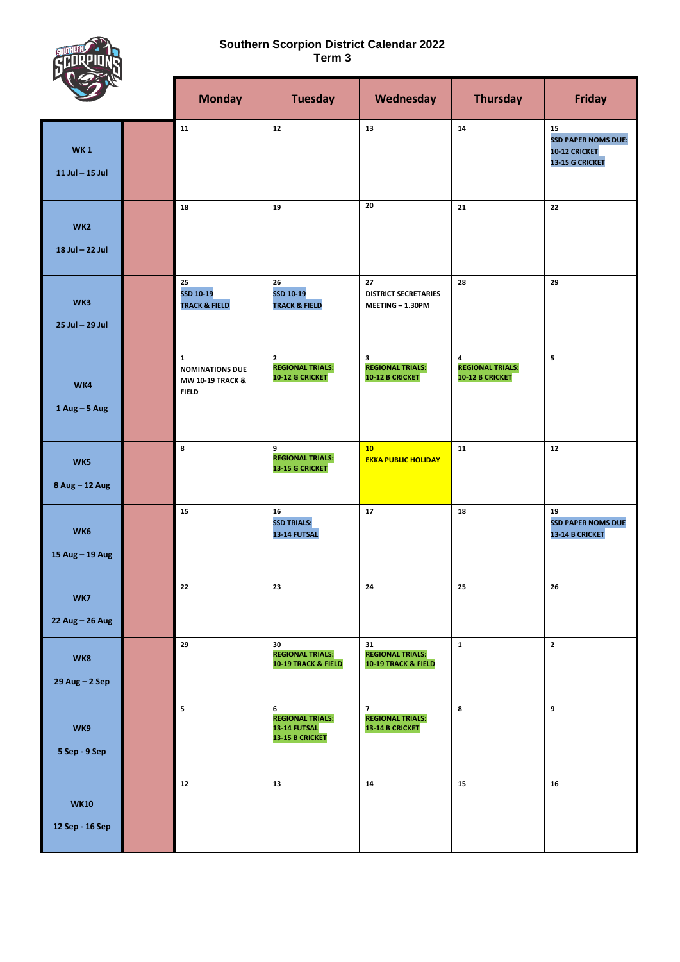## **Southern Scorpion District Calendar 2022 Term 3**



|                                    |  | <b>Monday</b>                                                              | <b>Tuesday</b>                                                    | Wednesday                                                           | <b>Thursday</b>                                        | <b>Friday</b>                                                               |
|------------------------------------|--|----------------------------------------------------------------------------|-------------------------------------------------------------------|---------------------------------------------------------------------|--------------------------------------------------------|-----------------------------------------------------------------------------|
| <b>WK1</b><br>$11$ Jul $-$ 15 Jul  |  | 11                                                                         | 12                                                                | 13                                                                  | 14                                                     | 15<br><b>SSD PAPER NOMS DUE:</b><br><b>10-12 CRICKET</b><br>13-15 G CRICKET |
| WK <sub>2</sub><br>18 Jul - 22 Jul |  | 18                                                                         | 19                                                                | 20                                                                  | 21                                                     | 22                                                                          |
| WK3<br>25 Jul - 29 Jul             |  | 25<br>SSD 10-19<br><b>TRACK &amp; FIELD</b>                                | 26<br>SSD 10-19<br><b>TRACK &amp; FIELD</b>                       | 27<br><b>DISTRICT SECRETARIES</b><br>MEETING - 1.30PM               | 28                                                     | 29                                                                          |
| WK4<br>$1$ Aug - 5 Aug             |  | $\mathbf{1}$<br><b>NOMINATIONS DUE</b><br>MW 10-19 TRACK &<br><b>FIELD</b> | $\mathbf{2}$<br><b>REGIONAL TRIALS:</b><br><b>10-12 G CRICKET</b> | 3<br><b>REGIONAL TRIALS:</b><br><b>10-12 B CRICKET</b>              | 4<br><b>REGIONAL TRIALS:</b><br><b>10-12 B CRICKET</b> | 5                                                                           |
| WK5<br>8 Aug - 12 Aug              |  | 8                                                                          | 9<br><b>REGIONAL TRIALS:</b><br>13-15 G CRICKET                   | 10<br><b>EKKA PUBLIC HOLIDAY</b>                                    | 11                                                     | 12                                                                          |
| WK6<br>15 Aug - 19 Aug             |  | 15                                                                         | 16<br><b>SSD TRIALS:</b><br>13-14 FUTSAL                          | 17                                                                  | 18                                                     | 19<br><b>SSD PAPER NOMS DUE</b><br>13-14 B CRICKET                          |
| WK7<br>22 Aug - 26 Aug             |  | 22                                                                         | 23                                                                | ${\bf 24}$                                                          | 25                                                     | ${\bf 26}$                                                                  |
| WK8<br>$29$ Aug $-2$ Sep           |  | 29                                                                         | 30<br><b>REGIONAL TRIALS:</b><br>10-19 TRACK & FIELD              | 31<br><b>REGIONAL TRIALS:</b><br>10-19 TRACK & FIELD                | $\mathbf 1$                                            | $\overline{2}$                                                              |
| WK9<br>5 Sep - 9 Sep               |  | ${\bf 5}$                                                                  | 6<br><b>REGIONAL TRIALS:</b><br>13-14 FUTSAL<br>13-15 B CRICKET   | $\overline{7}$<br><b>REGIONAL TRIALS:</b><br><b>13-14 B CRICKET</b> | 8                                                      | 9                                                                           |
| <b>WK10</b><br>12 Sep - 16 Sep     |  | $12$                                                                       | 13                                                                | 14                                                                  | 15                                                     | 16                                                                          |